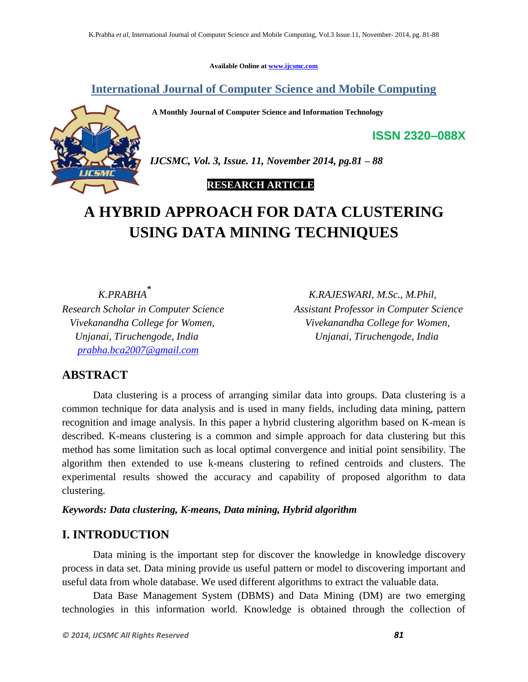**Available Online at [www.ijcsmc.com](http://www.ijcsmc.com/)**

**International Journal of Computer Science and Mobile Computing**

**A Monthly Journal of Computer Science and Information Technology**



*IJCSMC, Vol. 3, Issue. 11, November 2014, pg.81 – 88*

# **RESEARCH ARTICLE**

# **A HYBRID APPROACH FOR DATA CLUSTERING USING DATA MINING TECHNIQUES**

 *K.PRABHA\* Unjanai, Tiruchengode, India Unjanai, Tiruchengode, India [prabha.bca2007@gmail.com](mailto:prabha.bca2007@gmail.com)* 

 *K.RAJESWARI, M.Sc., M.Phil, Research Scholar in Computer Science Assistant Professor in Computer Science Vivekanandha College for Women, Vivekanandha College for Women,*

**ISSN 2320–088X**

# **ABSTRACT**

Data clustering is a process of arranging similar data into groups. Data clustering is a common technique for data analysis and is used in many fields, including data mining, pattern recognition and image analysis. In this paper a hybrid clustering algorithm based on K-mean is described. K-means clustering is a common and simple approach for data clustering but this method has some limitation such as local optimal convergence and initial point sensibility. The algorithm then extended to use k-means clustering to refined centroids and clusters. The experimental results showed the accuracy and capability of proposed algorithm to data clustering.

*Keywords: Data clustering, K-means, Data mining, Hybrid algorithm*

# **I. INTRODUCTION**

Data mining is the important step for discover the knowledge in knowledge discovery process in data set. Data mining provide us useful pattern or model to discovering important and useful data from whole database. We used different algorithms to extract the valuable data.

Data Base Management System (DBMS) and Data Mining (DM) are two emerging technologies in this information world. Knowledge is obtained through the collection of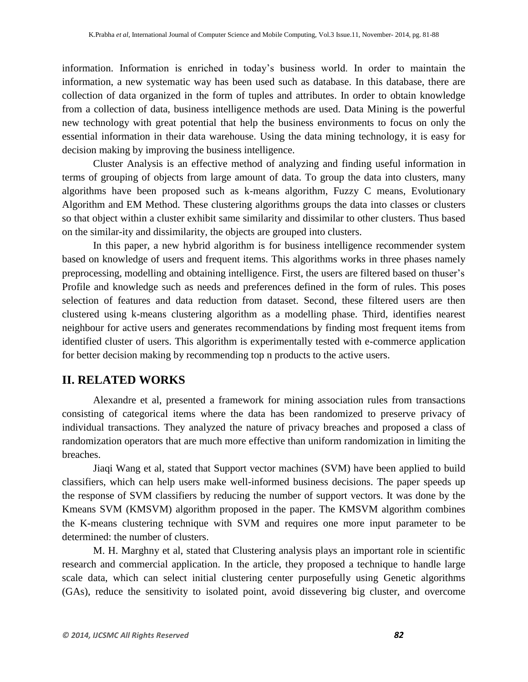information. Information is enriched in today"s business world. In order to maintain the information, a new systematic way has been used such as database. In this database, there are collection of data organized in the form of tuples and attributes. In order to obtain knowledge from a collection of data, business intelligence methods are used. Data Mining is the powerful new technology with great potential that help the business environments to focus on only the essential information in their data warehouse. Using the data mining technology, it is easy for decision making by improving the business intelligence.

Cluster Analysis is an effective method of analyzing and finding useful information in terms of grouping of objects from large amount of data. To group the data into clusters, many algorithms have been proposed such as k-means algorithm, Fuzzy C means, Evolutionary Algorithm and EM Method. These clustering algorithms groups the data into classes or clusters so that object within a cluster exhibit same similarity and dissimilar to other clusters. Thus based on the similar-ity and dissimilarity, the objects are grouped into clusters.

In this paper, a new hybrid algorithm is for business intelligence recommender system based on knowledge of users and frequent items. This algorithms works in three phases namely preprocessing, modelling and obtaining intelligence. First, the users are filtered based on thuser"s Profile and knowledge such as needs and preferences defined in the form of rules. This poses selection of features and data reduction from dataset. Second, these filtered users are then clustered using k-means clustering algorithm as a modelling phase. Third, identifies nearest neighbour for active users and generates recommendations by finding most frequent items from identified cluster of users. This algorithm is experimentally tested with e-commerce application for better decision making by recommending top n products to the active users.

# **II. RELATED WORKS**

Alexandre et al, presented a framework for mining association rules from transactions consisting of categorical items where the data has been randomized to preserve privacy of individual transactions. They analyzed the nature of privacy breaches and proposed a class of randomization operators that are much more effective than uniform randomization in limiting the breaches.

Jiaqi Wang et al, stated that Support vector machines (SVM) have been applied to build classifiers, which can help users make well-informed business decisions. The paper speeds up the response of SVM classifiers by reducing the number of support vectors. It was done by the Kmeans SVM (KMSVM) algorithm proposed in the paper. The KMSVM algorithm combines the K-means clustering technique with SVM and requires one more input parameter to be determined: the number of clusters.

M. H. Marghny et al, stated that Clustering analysis plays an important role in scientific research and commercial application. In the article, they proposed a technique to handle large scale data, which can select initial clustering center purposefully using Genetic algorithms (GAs), reduce the sensitivity to isolated point, avoid dissevering big cluster, and overcome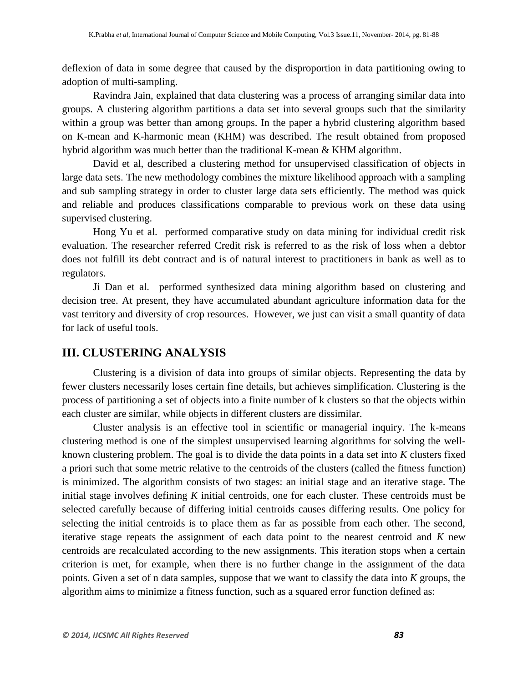deflexion of data in some degree that caused by the disproportion in data partitioning owing to adoption of multi-sampling.

Ravindra Jain, explained that data clustering was a process of arranging similar data into groups. A clustering algorithm partitions a data set into several groups such that the similarity within a group was better than among groups. In the paper a hybrid clustering algorithm based on K-mean and K-harmonic mean (KHM) was described. The result obtained from proposed hybrid algorithm was much better than the traditional K-mean & KHM algorithm.

David et al, described a clustering method for unsupervised classification of objects in large data sets. The new methodology combines the mixture likelihood approach with a sampling and sub sampling strategy in order to cluster large data sets efficiently. The method was quick and reliable and produces classifications comparable to previous work on these data using supervised clustering.

Hong Yu et al. performed comparative study on data mining for individual credit risk evaluation. The researcher referred Credit risk is referred to as the risk of loss when a debtor does not fulfill its debt contract and is of natural interest to practitioners in bank as well as to regulators.

Ji Dan et al. performed synthesized data mining algorithm based on clustering and decision tree. At present, they have accumulated abundant agriculture information data for the vast territory and diversity of crop resources. However, we just can visit a small quantity of data for lack of useful tools.

# **III. CLUSTERING ANALYSIS**

Clustering is a division of data into groups of similar objects. Representing the data by fewer clusters necessarily loses certain fine details, but achieves simplification. Clustering is the process of partitioning a set of objects into a finite number of k clusters so that the objects within each cluster are similar, while objects in different clusters are dissimilar.

Cluster analysis is an effective tool in scientific or managerial inquiry. The k-means clustering method is one of the simplest unsupervised learning algorithms for solving the wellknown clustering problem. The goal is to divide the data points in a data set into *K* clusters fixed a priori such that some metric relative to the centroids of the clusters (called the fitness function) is minimized. The algorithm consists of two stages: an initial stage and an iterative stage. The initial stage involves defining *K* initial centroids, one for each cluster. These centroids must be selected carefully because of differing initial centroids causes differing results. One policy for selecting the initial centroids is to place them as far as possible from each other. The second, iterative stage repeats the assignment of each data point to the nearest centroid and *K* new centroids are recalculated according to the new assignments. This iteration stops when a certain criterion is met, for example, when there is no further change in the assignment of the data points. Given a set of n data samples, suppose that we want to classify the data into *K* groups, the algorithm aims to minimize a fitness function, such as a squared error function defined as: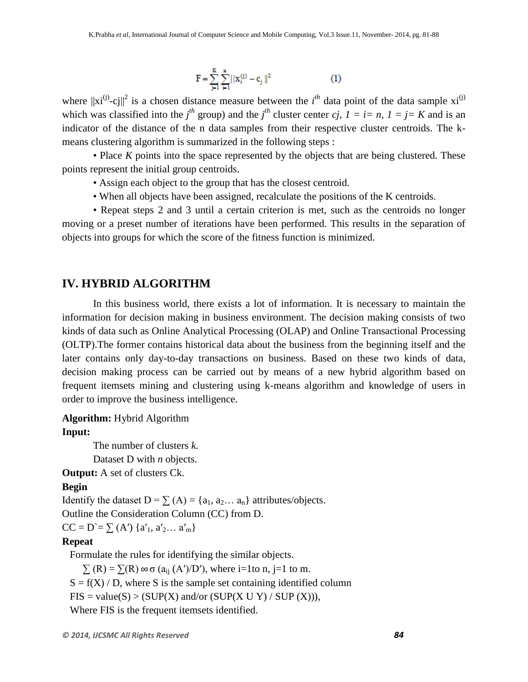$$
F = \sum_{j=1}^{K} \sum_{i=1}^{n} ||x_i^{(j)} - c_j||^2
$$
 (1)

where  $||xi^{(j)}-c_j||^2$  is a chosen distance measure between the *i*<sup>th</sup> data point of the data sample  $xi^{(j)}$ which was classified into the *j*<sup>th</sup> group) and the *j*<sup>th</sup> cluster center *cj,*  $1 = i = n$ ,  $1 = j = K$  and is an indicator of the distance of the n data samples from their respective cluster centroids. The kmeans clustering algorithm is summarized in the following steps :

• Place *K* points into the space represented by the objects that are being clustered. These points represent the initial group centroids.

- Assign each object to the group that has the closest centroid.
- When all objects have been assigned, recalculate the positions of the K centroids.

• Repeat steps 2 and 3 until a certain criterion is met, such as the centroids no longer moving or a preset number of iterations have been performed. This results in the separation of objects into groups for which the score of the fitness function is minimized.

### **IV. HYBRID ALGORITHM**

In this business world, there exists a lot of information. It is necessary to maintain the information for decision making in business environment. The decision making consists of two kinds of data such as Online Analytical Processing (OLAP) and Online Transactional Processing (OLTP).The former contains historical data about the business from the beginning itself and the later contains only day-to-day transactions on business. Based on these two kinds of data, decision making process can be carried out by means of a new hybrid algorithm based on frequent itemsets mining and clustering using k-means algorithm and knowledge of users in order to improve the business intelligence.

### **Algorithm:** Hybrid Algorithm **Input:**

The number of clusters *k.* Dataset D with *n* objects.

**Output:** A set of clusters Ck.

#### **Begin**

Identify the dataset D =  $\sum$  (A) = {a<sub>1</sub>, a<sub>2</sub>... a<sub>n</sub>} attributes/objects.

Outline the Consideration Column (CC) from D.

 $CC = D' = \sum (A') \{a'_1, a'_2, \ldots a'_m\}$ 

#### **Repeat**

Formulate the rules for identifying the similar objects.

 $\sum (R) = \sum (R) \infty$   $\sigma$  ( $a_{ii}$  (A')/D'), where i=1to n, j=1 to m.

 $S = f(X) / D$ , where S is the sample set containing identified column

 $FIS = value(S) > (SUP(X) and/or (SUP(X U Y) / SUP(X))),$ 

Where FIS is the frequent itemsets identified.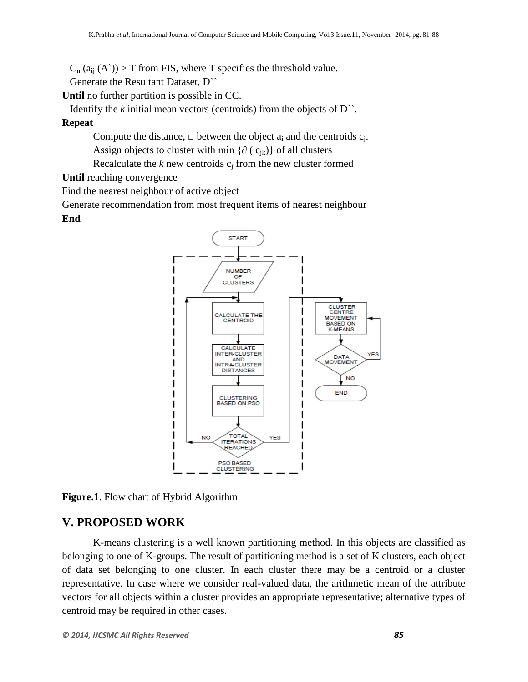$C_n(a_{ii}(A))$  > T from FIS, where T specifies the threshold value.

Generate the Resultant Dataset, D``

**Until** no further partition is possible in CC.

Identify the  $k$  initial mean vectors (centroids) from the objects of  $D^{\sim}$ .

**Repeat**

Compute the distance,  $\Box$  between the object  $a_i$  and the centroids  $c_j$ . Assign objects to cluster with min { $\partial$  ( $c_{ik}$ )} of all clusters

Recalculate the  $k$  new centroids  $c_i$  from the new cluster formed

**Until** reaching convergence

Find the nearest neighbour of active object

Generate recommendation from most frequent items of nearest neighbour

#### **End**



**Figure.1**. Flow chart of Hybrid Algorithm

### **V. PROPOSED WORK**

K-means clustering is a well known partitioning method. In this objects are classified as belonging to one of K-groups. The result of partitioning method is a set of K clusters, each object of data set belonging to one cluster. In each cluster there may be a centroid or a cluster representative. In case where we consider real-valued data, the arithmetic mean of the attribute vectors for all objects within a cluster provides an appropriate representative; alternative types of centroid may be required in other cases.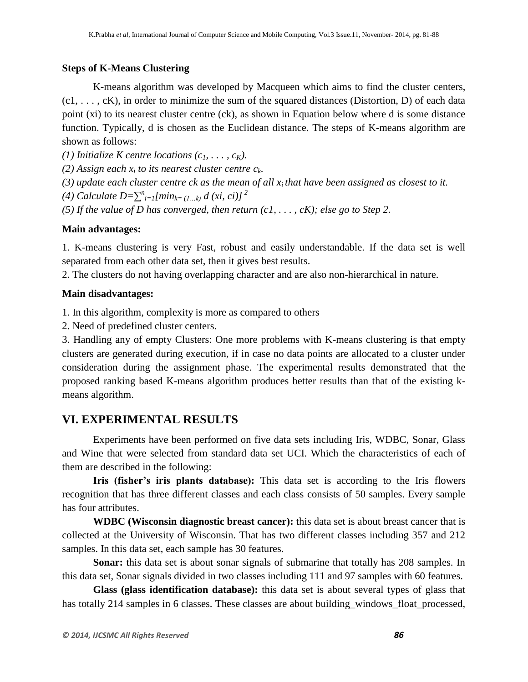### **Steps of K-Means Clustering**

K-means algorithm was developed by Macqueen which aims to find the cluster centers,  $(c_1, \ldots, c_K)$ , in order to minimize the sum of the squared distances (Distortion, D) of each data point (xi) to its nearest cluster centre (ck), as shown in Equation below where d is some distance function. Typically, d is chosen as the Euclidean distance. The steps of K-means algorithm are shown as follows:

*(1) Initialize K centre locations*  $(c_1, \ldots, c_K)$ *.* 

*(2) Assign each*  $x_i$  *to its nearest cluster centre*  $c_k$ *.* 

- *(3) update each cluster centre ck as the mean of all xi that have been assigned as closest to it.*
- *(4)* Calculate  $D = \sum_{i=1}^{n} [min_{k=(1...k)} d (xi, ci)]^2$
- *(5) If the value of D has converged, then return (c1, . . . , cK); else go to Step 2.*

### **Main advantages:**

1. K-means clustering is very Fast, robust and easily understandable. If the data set is well separated from each other data set, then it gives best results.

2. The clusters do not having overlapping character and are also non-hierarchical in nature.

### **Main disadvantages:**

1. In this algorithm, complexity is more as compared to others

2. Need of predefined cluster centers.

3. Handling any of empty Clusters: One more problems with K-means clustering is that empty clusters are generated during execution, if in case no data points are allocated to a cluster under consideration during the assignment phase. The experimental results demonstrated that the proposed ranking based K-means algorithm produces better results than that of the existing kmeans algorithm.

# **VI. EXPERIMENTAL RESULTS**

Experiments have been performed on five data sets including Iris, WDBC, Sonar, Glass and Wine that were selected from standard data set UCI. Which the characteristics of each of them are described in the following:

**Iris (fisher's iris plants database):** This data set is according to the Iris flowers recognition that has three different classes and each class consists of 50 samples. Every sample has four attributes.

**WDBC (Wisconsin diagnostic breast cancer):** this data set is about breast cancer that is collected at the University of Wisconsin. That has two different classes including 357 and 212 samples. In this data set, each sample has 30 features.

**Sonar:** this data set is about sonar signals of submarine that totally has 208 samples. In this data set, Sonar signals divided in two classes including 111 and 97 samples with 60 features.

**Glass (glass identification database):** this data set is about several types of glass that has totally 214 samples in 6 classes. These classes are about building\_windows\_float\_processed,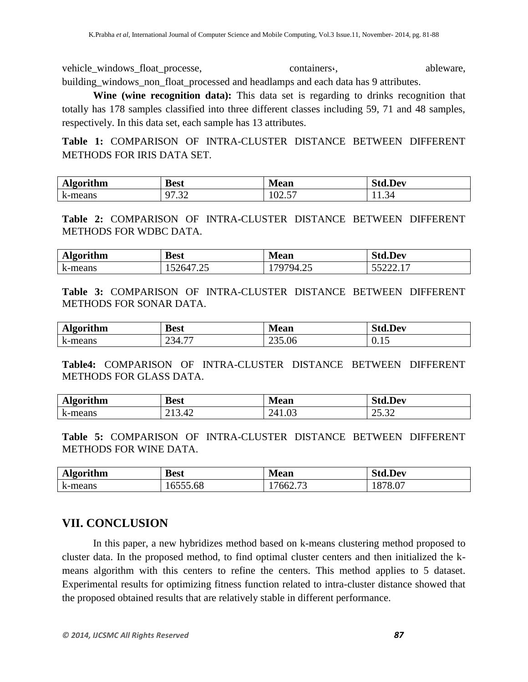vehicle\_windows\_float\_processe, containers, containers, ableware, building\_windows\_non\_float\_processed and headlamps and each data has 9 attributes.

**Wine (wine recognition data):** This data set is regarding to drinks recognition that totally has 178 samples classified into three different classes including 59, 71 and 48 samples, respectively. In this data set, each sample has 13 attributes.

**Table 1:** COMPARISON OF INTRA-CLUSTER DISTANCE BETWEEN DIFFERENT METHODS FOR IRIS DATA SET.

| lgorithm<br>лы                 | <b>Best</b>             | Tean                               | $.$ Dev                  |
|--------------------------------|-------------------------|------------------------------------|--------------------------|
| $\mathbf{r}$<br>:-means<br>- K | $\sim$<br>$\sim$<br>ے ب | $\overline{\phantom{m}}$<br>ن کا ک | n4<br>11.J<br>$\sim$ $-$ |

**Table 2:** COMPARISON OF INTRA-CLUSTER DISTANCE BETWEEN DIFFERENT METHODS FOR WDBC DATA.

| <b>Algorithm</b> | Best               | <b>Mean</b>                   | $\blacksquare$<br><b>Std.Dev</b> |
|------------------|--------------------|-------------------------------|----------------------------------|
| .-means<br>K     | hД<br>ت کے و<br>"" | $\sim$ $\sim$<br>ЧД<br>ت سه . | JJ <i>LLL</i> .1                 |

**Table 3:** COMPARISON OF INTRA-CLUSTER DISTANCE BETWEEN DIFFERENT METHODS FOR SONAR DATA.

| lgorithm                       | <b>Best</b>                                     | -      | $\blacksquare$ |
|--------------------------------|-------------------------------------------------|--------|----------------|
| <b>TILE</b>                    |                                                 | Mean   | ud.Dev         |
| $\mathbf{r}$<br>:-means<br>- K | $-$<br>Ò<br>ີ າ4. .<br>$\overline{\phantom{m}}$ | 235.06 | . .<br>0.1J    |

**Table4:** COMPARISON OF INTRA-CLUSTER DISTANCE BETWEEN DIFFERENT METHODS FOR GLASS DATA.

| <b>Lgorithm</b><br>лір | <b>Best</b>          | Mean                                                                 | <b>⊿td.Dev</b>                    |
|------------------------|----------------------|----------------------------------------------------------------------|-----------------------------------|
| a-means<br>K           | 3.42<br>$1^{\prime}$ | $\sim$<br>$^{\prime}$ $^{\prime}$<br>$\cdot \circ \cdot$<br><u>_</u> | $\sim$<br>$\cap$ $\subset$<br>ے ت |

**Table 5:** COMPARISON OF INTRA-CLUSTER DISTANCE BETWEEN DIFFERENT METHODS FOR WINE DATA.

| <b>Algorithm</b> | <b>Best</b> | <b>Mean</b> | <b>Std.Dev</b> |
|------------------|-------------|-------------|----------------|
| k-means<br>.     | 6555.68     | 7662.73     | 1878.07<br>101 |

# **VII. CONCLUSION**

In this paper, a new hybridizes method based on k-means clustering method proposed to cluster data. In the proposed method, to find optimal cluster centers and then initialized the kmeans algorithm with this centers to refine the centers. This method applies to 5 dataset. Experimental results for optimizing fitness function related to intra-cluster distance showed that the proposed obtained results that are relatively stable in different performance.